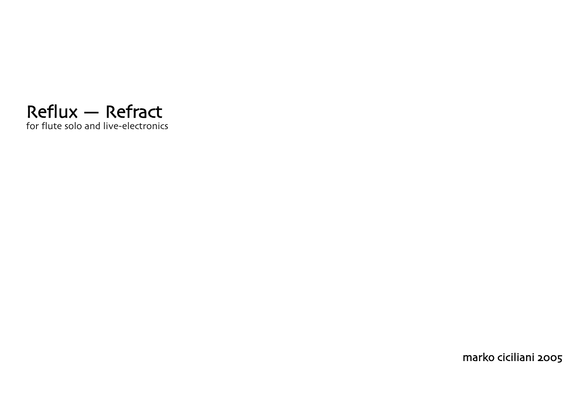

marko ciciliani 2005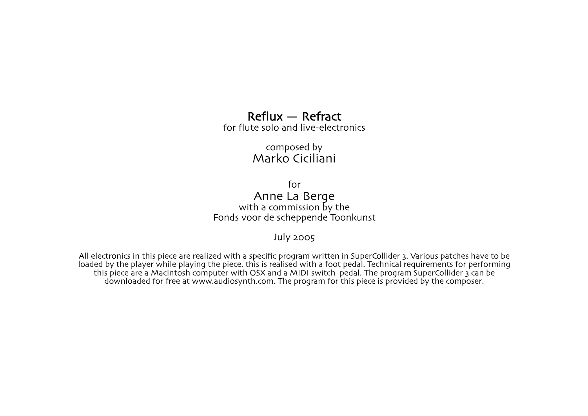## Reflux — Refract for flute solo and live-electronics

composed by Marko Ciciliani

for Anne La Berge with a commission by the Fonds voor de scheppende Toonkunst

July 2005

All electronics in this piece are realized with a specific program written in SuperCollider 3. Various patches have to be loaded by the player while playing the piece. this is realised with a foot pedal. Technical requirements for performing this piece are a Macintosh computer with OSX and a MIDI switch pedal. The program SuperCollider 3 can be downloaded for free at www.audiosynth.com. The program for this piece is provided by the composer.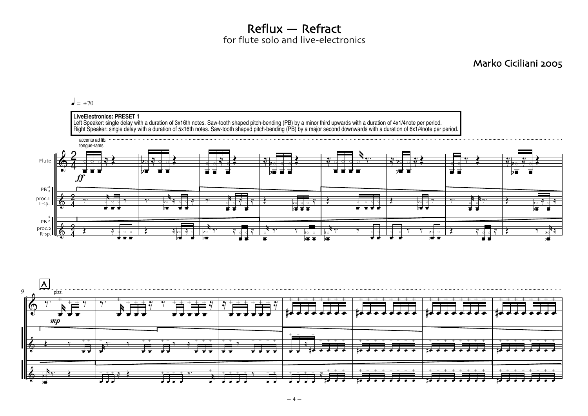Reflux — Refract for flute solo and live-electronics

Marko Ciciliani 2005

## $\epsilon = \pm 70$



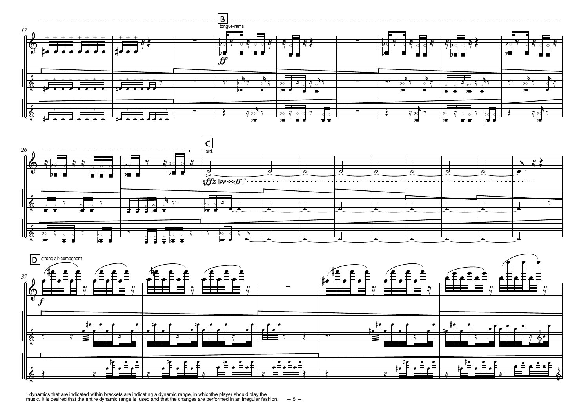





\* dynamics that are indicated within brackets are indicating a dynamic range, in whichthe player should play the<br>music. It is desired that the entire dynamic range is used and that the changes are performed in an irregula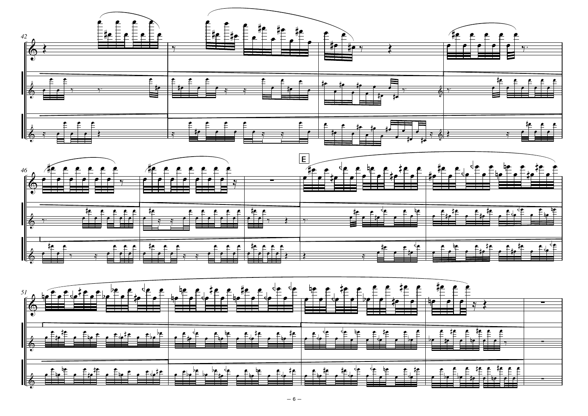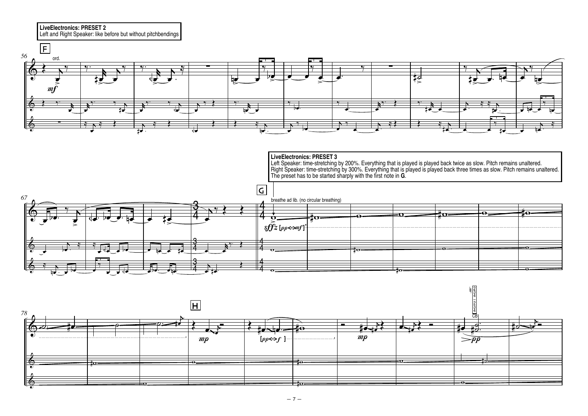**LiveElectronics: PRESET 2** Left and Right Speaker: like before but without pitchbendings



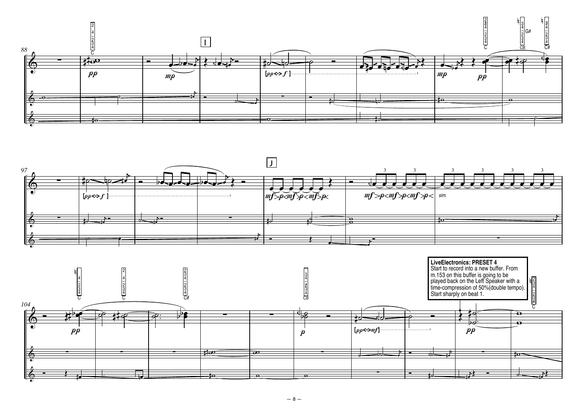



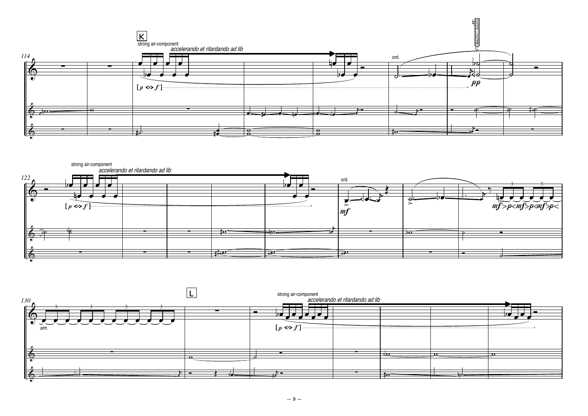



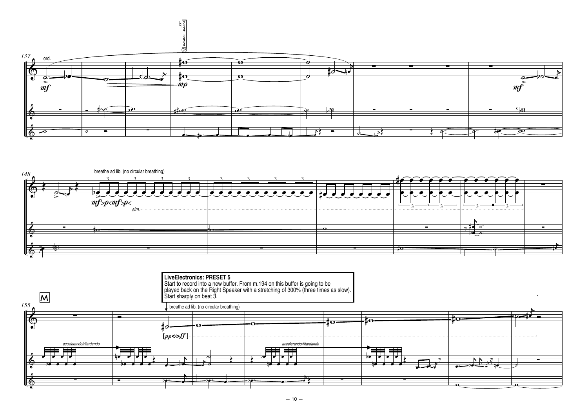



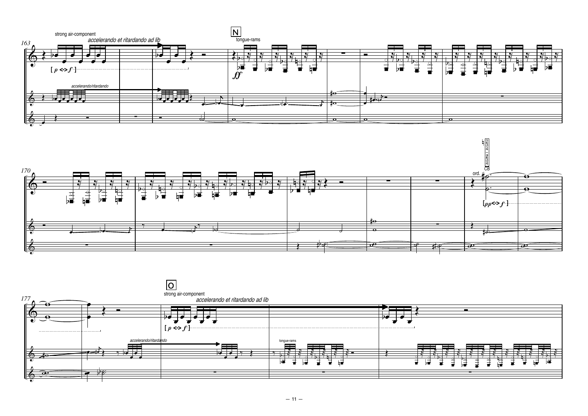



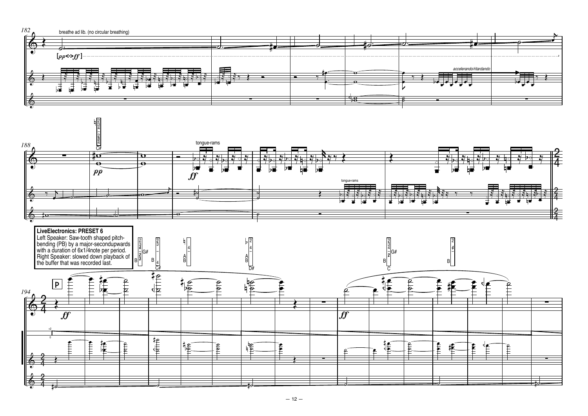